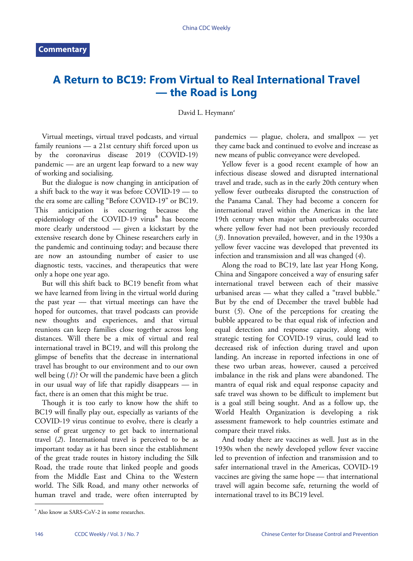## **A Return to BC19: From Virtual to Real International Travel — the Road is Long**

## David L. Heymann<sup>#</sup>

Virtual meetings, virtual travel podcasts, and virtual family reunions — a 21st century shift forced upon us by the coronavirus disease 2019 (COVID-19) pandemic — are an urgent leap forward to a new way of working and socialising.

But the dialogue is now changing in anticipation of a shift back to the way it was before COVID-19 — to the era some are calling "Before COVID-19" or BC19. This anticipation is occurring because the epidemiology of the COVID-19 virus\* has become more clearly understood — given a kickstart by the extensive research done by Chinese researchers early in the pandemic and continuing today; and because there are now an astounding number of easier to use diagnostic tests, vaccines, and therapeutics that were only a hope one year ago.

But will this shift back to BC19 benefit from what we have learned from living in the virtual world during the past year — that virtual meetings can have the hoped for outcomes, that travel podcasts can provide new thoughts and experiences, and that virtual reunions can keep families close together across long distances. Will there be a mix of virtual and real international travel in BC19, and will this prolong the glimpse of benefits that the decrease in international travel has brought to our environment and to our own well being (*[1](#page-1-0)*)? Or will the pandemic have been a glitch in our usual way of life that rapidly disappears — in fact, there is an omen that this might be true.

Though it is too early to know how the shift to BC19 will finally play out, especially as variants of the COVID-19 virus continue to evolve, there is clearly a sense [of](#page-1-1) great urgency to get back to international travel (*[2](#page-1-1)*). International travel is perceived to be as important today as it has been since the establishment of the great trade routes in history including the Silk Road, the trade route that linked people and goods from the Middle East and China to the Western world. The Silk Road, and many other networks of human travel and trade, were often interrupted by

pandemics — plague, cholera, and smallpox — yet they came back and continued to evolve and increase as new means of public conveyance were developed.

Yellow fever is a good recent example of how an infectious disease slowed and disrupted international travel and trade, such as in the early 20th century when yellow fever outbreaks disrupted the construction of the Panama Canal. They had become a concern for international travel within the Americas in the late [19](#page-1-2)th century when major urban outbreaks occurred where yellow fever had not been previously recorded (*[3](#page-1-2)*). Innovation prevailed, however, and in the [19](#page-1-3)30s a yellow fever vaccine was developed that prevented its infection and transmission and all was changed (*[4](#page-1-3)*).

Along the road to BC19, late last year Hong Kong, China and Singapore conceived a way of ensuring safer international travel between each of their massive urbanis[ed](#page-1-4) areas — what they called a "travel bubble." But by the end of December the travel bubble had burst (*[5](#page-1-4)*). One of the perceptions for creating the bubble appeared to be that equal risk of infection and equal detection and response capacity, along with strategic testing for COVID-19 virus, could lead to decreased risk of infection during travel and upon landing. An increase in reported infections in one of these two urban areas, however, caused a perceived imbalance in the risk and plans were abandoned. The mantra of equal risk and equal response capacity and safe travel was shown to be difficult to implement but is a goal still being sought. And as a follow up, the World Health Organization is developing a risk assessment framework to help countries estimate and compare their travel risks.

And today there are vaccines as well. Just as in the 1930s when the newly developed yellow fever vaccine led to prevention of infection and transmission and to safer international travel in the Americas, COVID-19 vaccines are giving the same hope — that international travel will again become safe, returning the world of international travel to its BC19 level.

<sup>\*</sup> Also know as SARS-CoV-2 in some researches.